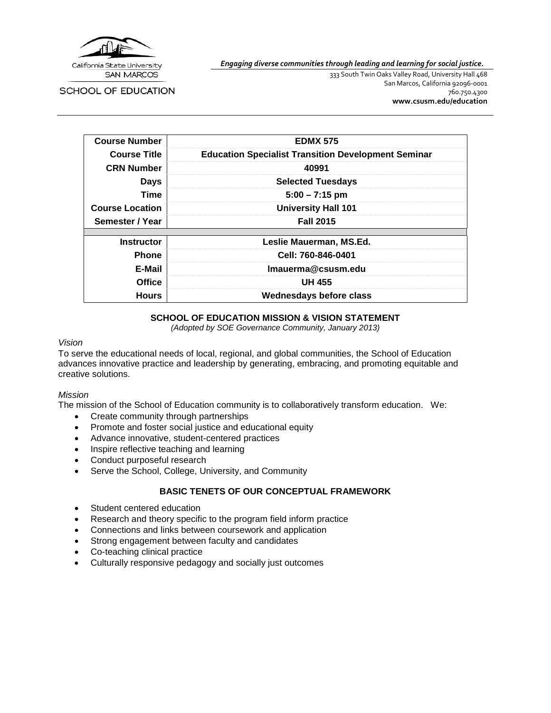

*Engaging diverse communities through leading and learning for social justice.*

SCHOOL OF EDUCATION

333 South Twin Oaks Valley Road, University Hall 468 San Marcos, California 92096-0001 760.750.4300 **[www.csusm.edu/education](http://www.csusm.edu/education)**

| <b>Course Number</b>   | <b>EDMX 575</b>                                            |
|------------------------|------------------------------------------------------------|
| <b>Course Title</b>    | <b>Education Specialist Transition Development Seminar</b> |
| <b>CRN Number</b>      | 40991                                                      |
| Days                   | <b>Selected Tuesdays</b>                                   |
| <b>Time</b>            | $5:00 - 7:15$ pm                                           |
| <b>Course Location</b> | <b>University Hall 101</b>                                 |
| Semester / Year        | <b>Fall 2015</b>                                           |
|                        |                                                            |
| <b>Instructor</b>      | Leslie Mauerman, MS.Ed.                                    |
| <b>Phone</b>           | Cell: 760-846-0401                                         |
| E-Mail                 | Imauerma@csusm.edu                                         |
| <b>Office</b>          | <b>UH 455</b>                                              |
| <b>Hours</b>           | Wednesdays before class                                    |

### **SCHOOL OF EDUCATION MISSION & VISION STATEMENT**

*(Adopted by SOE Governance Community, January 2013)*

#### *Vision*

To serve the educational needs of local, regional, and global communities, the School of Education advances innovative practice and leadership by generating, embracing, and promoting equitable and creative solutions.

#### *Mission*

The mission of the School of Education community is to collaboratively transform education. We:

- Create community through partnerships
- Promote and foster social justice and educational equity
- Advance innovative, student-centered practices
- Inspire reflective teaching and learning
- Conduct purposeful research
- Serve the School, College, University, and Community

### **BASIC TENETS OF OUR CONCEPTUAL FRAMEWORK**

- Student centered education
- Research and theory specific to the program field inform practice
- Connections and links between coursework and application
- Strong engagement between faculty and candidates
- Co-teaching clinical practice
- Culturally responsive pedagogy and socially just outcomes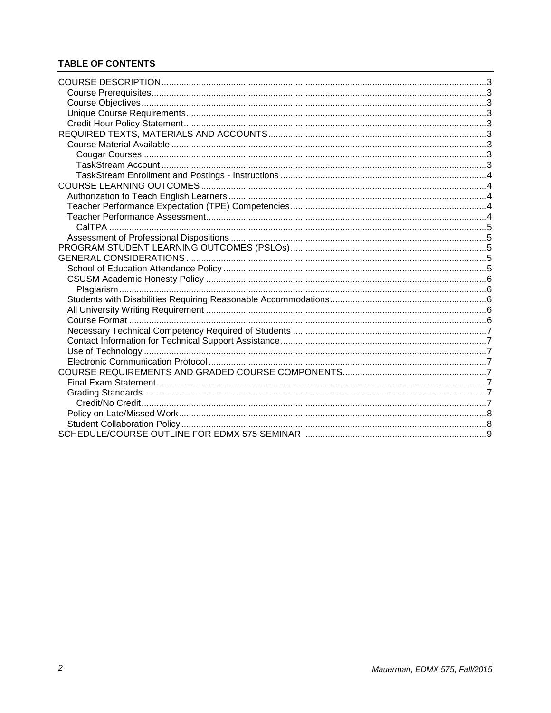# **TABLE OF CONTENTS**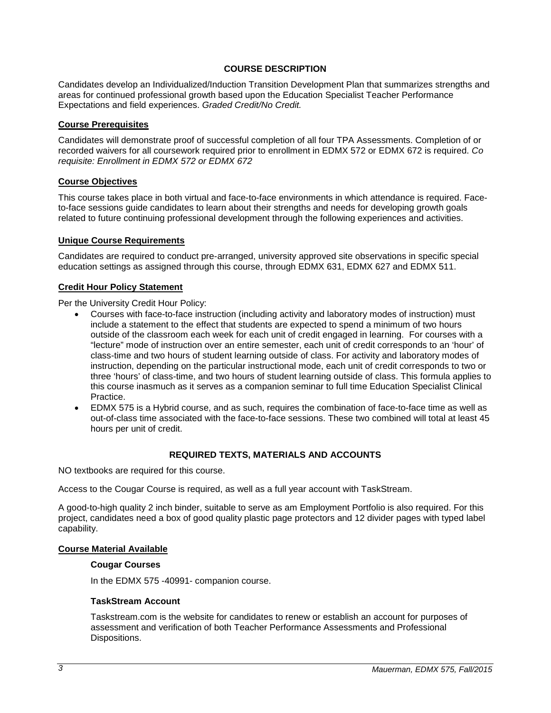## **COURSE DESCRIPTION**

<span id="page-2-0"></span>Candidates develop an Individualized/Induction Transition Development Plan that summarizes strengths and areas for continued professional growth based upon the Education Specialist Teacher Performance Expectations and field experiences. *Graded Credit/No Credit.*

### <span id="page-2-1"></span>**Course Prerequisites**

Candidates will demonstrate proof of successful completion of all four TPA Assessments. Completion of or recorded waivers for all coursework required prior to enrollment in EDMX 572 or EDMX 672 is required. *Co requisite: Enrollment in EDMX 572 or EDMX 672*

#### <span id="page-2-2"></span>**Course Objectives**

This course takes place in both virtual and face-to-face environments in which attendance is required. Faceto-face sessions guide candidates to learn about their strengths and needs for developing growth goals related to future continuing professional development through the following experiences and activities.

### <span id="page-2-3"></span>**Unique Course Requirements**

Candidates are required to conduct pre-arranged, university approved site observations in specific special education settings as assigned through this course, through EDMX 631, EDMX 627 and EDMX 511.

## <span id="page-2-4"></span>**Credit Hour Policy Statement**

Per the University Credit Hour Policy:

- Courses with face-to-face instruction (including activity and laboratory modes of instruction) must include a statement to the effect that students are expected to spend a minimum of two hours outside of the classroom each week for each unit of credit engaged in learning. For courses with a "lecture" mode of instruction over an entire semester, each unit of credit corresponds to an 'hour' of class-time and two hours of student learning outside of class. For activity and laboratory modes of instruction, depending on the particular instructional mode, each unit of credit corresponds to two or three 'hours' of class-time, and two hours of student learning outside of class. This formula applies to this course inasmuch as it serves as a companion seminar to full time Education Specialist Clinical Practice.
- EDMX 575 is a Hybrid course, and as such, requires the combination of face-to-face time as well as out-of-class time associated with the face-to-face sessions. These two combined will total at least 45 hours per unit of credit.

#### **REQUIRED TEXTS, MATERIALS AND ACCOUNTS**

<span id="page-2-5"></span>NO textbooks are required for this course.

Access to the Cougar Course is required, as well as a full year account with TaskStream.

A good-to-high quality 2 inch binder, suitable to serve as am Employment Portfolio is also required. For this project, candidates need a box of good quality plastic page protectors and 12 divider pages with typed label capability.

#### <span id="page-2-7"></span><span id="page-2-6"></span>**Course Material Available**

#### **Cougar Courses**

In the EDMX 575 -40991- companion course.

#### <span id="page-2-8"></span>**TaskStream Account**

Taskstream.com is the website for candidates to renew or establish an account for purposes of assessment and verification of both Teacher Performance Assessments and Professional Dispositions.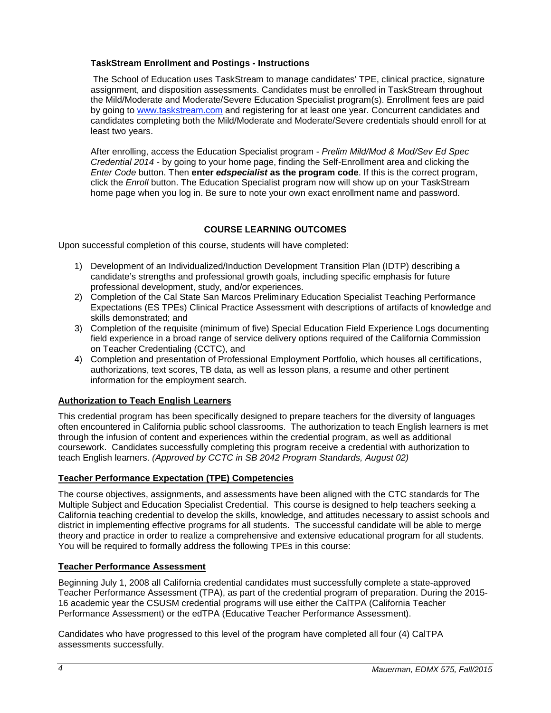## <span id="page-3-0"></span>**TaskStream Enrollment and Postings - Instructions**

The School of Education uses TaskStream to manage candidates' TPE, clinical practice, signature assignment, and disposition assessments. Candidates must be enrolled in TaskStream throughout the Mild/Moderate and Moderate/Severe Education Specialist program(s). Enrollment fees are paid by going to [www.taskstream.com](https://bl2prd0510.outlook.com/owa/redir.aspx?C=BCCRQqSYiUGfF8D5o1hWda_4K252ddAIWfHJ-9hEDukuBafQrA7uFT9QzjT3BGXTnuKNALZtCyo.&URL=http%3a%2f%2fwww.taskstrem.com%2f) and registering for at least one year. Concurrent candidates and candidates completing both the Mild/Moderate and Moderate/Severe credentials should enroll for at least two years.

After enrolling, access the Education Specialist program - *Prelim Mild/Mod & Mod/Sev Ed Spec Credential 2014* - by going to your home page, finding the Self-Enrollment area and clicking the *Enter Code* button. Then **enter** *edspecialist* **as the program code**. If this is the correct program, click the *Enroll* button. The Education Specialist program now will show up on your TaskStream home page when you log in. Be sure to note your own exact enrollment name and password.

# **COURSE LEARNING OUTCOMES**

<span id="page-3-1"></span>Upon successful completion of this course, students will have completed:

- 1) Development of an Individualized/Induction Development Transition Plan (IDTP) describing a candidate's strengths and professional growth goals, including specific emphasis for future professional development, study, and/or experiences.
- 2) Completion of the Cal State San Marcos Preliminary Education Specialist Teaching Performance Expectations (ES TPEs) Clinical Practice Assessment with descriptions of artifacts of knowledge and skills demonstrated; and
- 3) Completion of the requisite (minimum of five) Special Education Field Experience Logs documenting field experience in a broad range of service delivery options required of the California Commission on Teacher Credentialing (CCTC), and
- 4) Completion and presentation of Professional Employment Portfolio, which houses all certifications, authorizations, text scores, TB data, as well as lesson plans, a resume and other pertinent information for the employment search.

## <span id="page-3-2"></span>**Authorization to Teach English Learners**

This credential program has been specifically designed to prepare teachers for the diversity of languages often encountered in California public school classrooms. The authorization to teach English learners is met through the infusion of content and experiences within the credential program, as well as additional coursework. Candidates successfully completing this program receive a credential with authorization to teach English learners. *(Approved by CCTC in SB 2042 Program Standards, August 02)*

# <span id="page-3-3"></span>**Teacher Performance Expectation (TPE) Competencies**

The course objectives, assignments, and assessments have been aligned with the CTC standards for The Multiple Subject and Education Specialist Credential. This course is designed to help teachers seeking a California teaching credential to develop the skills, knowledge, and attitudes necessary to assist schools and district in implementing effective programs for all students. The successful candidate will be able to merge theory and practice in order to realize a comprehensive and extensive educational program for all students. You will be required to formally address the following TPEs in this course:

# <span id="page-3-4"></span>**Teacher Performance Assessment**

Beginning July 1, 2008 all California credential candidates must successfully complete a state-approved Teacher Performance Assessment (TPA), as part of the credential program of preparation. During the 2015- 16 academic year the CSUSM credential programs will use either the CalTPA (California Teacher Performance Assessment) or the edTPA (Educative Teacher Performance Assessment).

Candidates who have progressed to this level of the program have completed all four (4) CalTPA assessments successfully.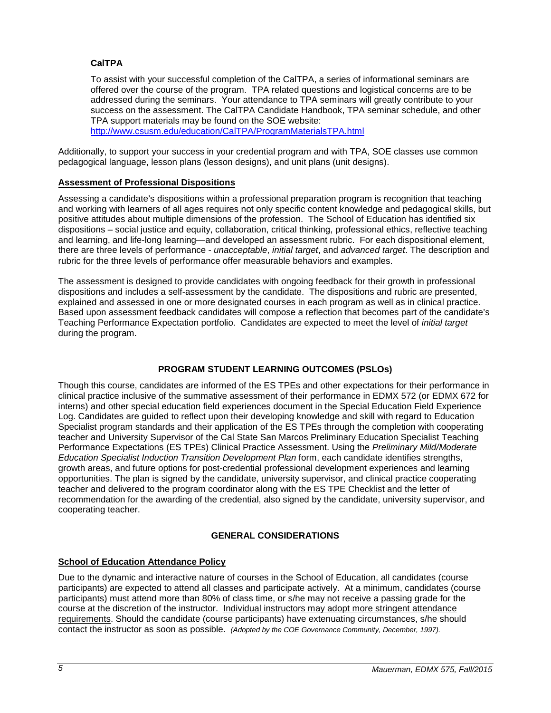## <span id="page-4-0"></span>**CalTPA**

To assist with your successful completion of the CalTPA, a series of informational seminars are offered over the course of the program. TPA related questions and logistical concerns are to be addressed during the seminars. Your attendance to TPA seminars will greatly contribute to your success on the assessment. The CalTPA Candidate Handbook, TPA seminar schedule, and other TPA support materials may be found on the SOE website:

<http://www.csusm.edu/education/CalTPA/ProgramMaterialsTPA.html>

Additionally, to support your success in your credential program and with TPA, SOE classes use common pedagogical language, lesson plans (lesson designs), and unit plans (unit designs).

## <span id="page-4-1"></span>**Assessment of Professional Dispositions**

Assessing a candidate's dispositions within a professional preparation program is recognition that teaching and working with learners of all ages requires not only specific content knowledge and pedagogical skills, but positive attitudes about multiple dimensions of the profession. The School of Education has identified six dispositions – social justice and equity, collaboration, critical thinking, professional ethics, reflective teaching and learning, and life-long learning—and developed an assessment rubric. For each dispositional element, there are three levels of performance - *unacceptable*, *initial target*, and *advanced target*. The description and rubric for the three levels of performance offer measurable behaviors and examples.

The assessment is designed to provide candidates with ongoing feedback for their growth in professional dispositions and includes a self-assessment by the candidate. The dispositions and rubric are presented, explained and assessed in one or more designated courses in each program as well as in clinical practice. Based upon assessment feedback candidates will compose a reflection that becomes part of the candidate's Teaching Performance Expectation portfolio. Candidates are expected to meet the level of *initial target* during the program.

# **PROGRAM STUDENT LEARNING OUTCOMES (PSLOs)**

<span id="page-4-2"></span>Though this course, candidates are informed of the ES TPEs and other expectations for their performance in clinical practice inclusive of the summative assessment of their performance in EDMX 572 (or EDMX 672 for interns) and other special education field experiences document in the Special Education Field Experience Log. Candidates are guided to reflect upon their developing knowledge and skill with regard to Education Specialist program standards and their application of the ES TPEs through the completion with cooperating teacher and University Supervisor of the Cal State San Marcos Preliminary Education Specialist Teaching Performance Expectations (ES TPEs) Clinical Practice Assessment. Using the *Preliminary Mild/Moderate Education Specialist Induction Transition Development Plan* form, each candidate identifies strengths, growth areas, and future options for post-credential professional development experiences and learning opportunities. The plan is signed by the candidate, university supervisor, and clinical practice cooperating teacher and delivered to the program coordinator along with the ES TPE Checklist and the letter of recommendation for the awarding of the credential, also signed by the candidate, university supervisor, and cooperating teacher.

# **GENERAL CONSIDERATIONS**

## <span id="page-4-4"></span><span id="page-4-3"></span>**School of Education Attendance Policy**

Due to the dynamic and interactive nature of courses in the School of Education, all candidates (course participants) are expected to attend all classes and participate actively. At a minimum, candidates (course participants) must attend more than 80% of class time, or s/he may not receive a passing grade for the course at the discretion of the instructor. Individual instructors may adopt more stringent attendance requirements. Should the candidate (course participants) have extenuating circumstances, s/he should contact the instructor as soon as possible. *(Adopted by the COE Governance Community, December, 1997).*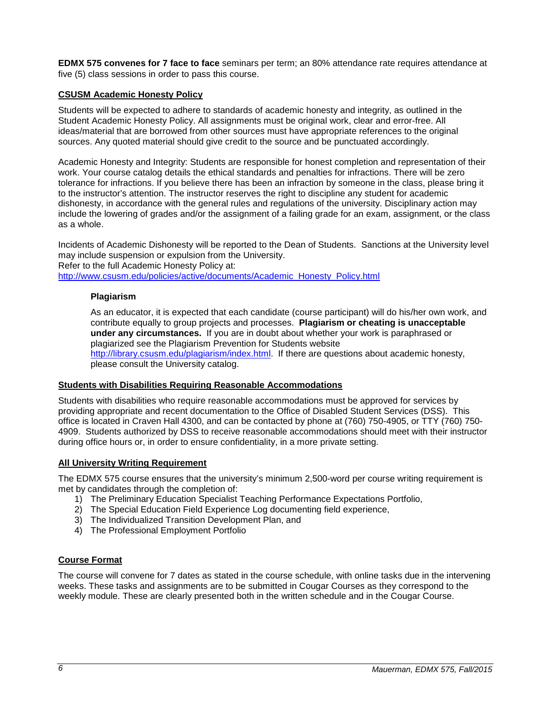**EDMX 575 convenes for 7 face to face** seminars per term; an 80% attendance rate requires attendance at five (5) class sessions in order to pass this course.

## <span id="page-5-0"></span>**CSUSM Academic Honesty Policy**

Students will be expected to adhere to standards of academic honesty and integrity, as outlined in the Student Academic Honesty Policy. All assignments must be original work, clear and error-free. All ideas/material that are borrowed from other sources must have appropriate references to the original sources. Any quoted material should give credit to the source and be punctuated accordingly.

Academic Honesty and Integrity: Students are responsible for honest completion and representation of their work. Your course catalog details the ethical standards and penalties for infractions. There will be zero tolerance for infractions. If you believe there has been an infraction by someone in the class, please bring it to the instructor's attention. The instructor reserves the right to discipline any student for academic dishonesty, in accordance with the general rules and regulations of the university. Disciplinary action may include the lowering of grades and/or the assignment of a failing grade for an exam, assignment, or the class as a whole.

Incidents of Academic Dishonesty will be reported to the Dean of Students. Sanctions at the University level may include suspension or expulsion from the University. Refer to the full Academic Honesty Policy at:

<span id="page-5-1"></span>[http://www.csusm.edu/policies/active/documents/Academic\\_Honesty\\_Policy.html](http://www.csusm.edu/policies/active/documents/Academic_Honesty_Policy.html)

### **Plagiarism**

As an educator, it is expected that each candidate (course participant) will do his/her own work, and contribute equally to group projects and processes. **Plagiarism or cheating is unacceptable under any circumstances.** If you are in doubt about whether your work is paraphrased or plagiarized see the Plagiarism Prevention for Students website [http://library.csusm.edu/plagiarism/index.html.](http://library.csusm.edu/plagiarism/index.html) If there are questions about academic honesty, please consult the University catalog.

#### <span id="page-5-2"></span>**Students with Disabilities Requiring Reasonable Accommodations**

Students with disabilities who require reasonable accommodations must be approved for services by providing appropriate and recent documentation to the Office of Disabled Student Services (DSS). This office is located in Craven Hall 4300, and can be contacted by phone at (760) 750-4905, or TTY (760) 750- 4909. Students authorized by DSS to receive reasonable accommodations should meet with their instructor during office hours or, in order to ensure confidentiality, in a more private setting.

## <span id="page-5-3"></span>**All University Writing Requirement**

The EDMX 575 course ensures that the university's minimum 2,500-word per course writing requirement is met by candidates through the completion of:

- 1) The Preliminary Education Specialist Teaching Performance Expectations Portfolio,
- 2) The Special Education Field Experience Log documenting field experience,
- 3) The Individualized Transition Development Plan, and
- 4) The Professional Employment Portfolio

## <span id="page-5-4"></span>**Course Format**

The course will convene for 7 dates as stated in the course schedule, with online tasks due in the intervening weeks. These tasks and assignments are to be submitted in Cougar Courses as they correspond to the weekly module. These are clearly presented both in the written schedule and in the Cougar Course.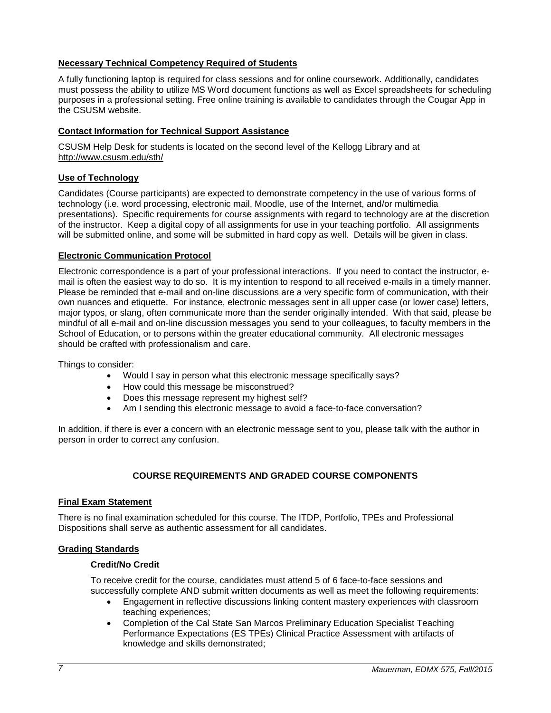## <span id="page-6-0"></span>**Necessary Technical Competency Required of Students**

A fully functioning laptop is required for class sessions and for online coursework. Additionally, candidates must possess the ability to utilize MS Word document functions as well as Excel spreadsheets for scheduling purposes in a professional setting. Free online training is available to candidates through the Cougar App in the CSUSM website.

## <span id="page-6-1"></span>**Contact Information for Technical Support Assistance**

CSUSM Help Desk for students is located on the second level of the Kellogg Library and at <http://www.csusm.edu/sth/>

## <span id="page-6-2"></span>**Use of Technology**

Candidates (Course participants) are expected to demonstrate competency in the use of various forms of technology (i.e. word processing, electronic mail, Moodle, use of the Internet, and/or multimedia presentations). Specific requirements for course assignments with regard to technology are at the discretion of the instructor. Keep a digital copy of all assignments for use in your teaching portfolio. All assignments will be submitted online, and some will be submitted in hard copy as well. Details will be given in class.

## <span id="page-6-3"></span>**Electronic Communication Protocol**

Electronic correspondence is a part of your professional interactions. If you need to contact the instructor, email is often the easiest way to do so. It is my intention to respond to all received e-mails in a timely manner. Please be reminded that e-mail and on-line discussions are a very specific form of communication, with their own nuances and etiquette. For instance, electronic messages sent in all upper case (or lower case) letters, major typos, or slang, often communicate more than the sender originally intended. With that said, please be mindful of all e-mail and on-line discussion messages you send to your colleagues, to faculty members in the School of Education, or to persons within the greater educational community. All electronic messages should be crafted with professionalism and care.

Things to consider:

- Would I say in person what this electronic message specifically says?
- How could this message be misconstrued?
- Does this message represent my highest self?
- Am I sending this electronic message to avoid a face-to-face conversation?

In addition, if there is ever a concern with an electronic message sent to you, please talk with the author in person in order to correct any confusion.

# **COURSE REQUIREMENTS AND GRADED COURSE COMPONENTS**

## <span id="page-6-5"></span><span id="page-6-4"></span>**Final Exam Statement**

There is no final examination scheduled for this course. The ITDP, Portfolio, TPEs and Professional Dispositions shall serve as authentic assessment for all candidates.

## <span id="page-6-7"></span><span id="page-6-6"></span>**Grading Standards**

## **Credit/No Credit**

To receive credit for the course, candidates must attend 5 of 6 face-to-face sessions and successfully complete AND submit written documents as well as meet the following requirements:

- Engagement in reflective discussions linking content mastery experiences with classroom teaching experiences;
- Completion of the Cal State San Marcos Preliminary Education Specialist Teaching Performance Expectations (ES TPEs) Clinical Practice Assessment with artifacts of knowledge and skills demonstrated;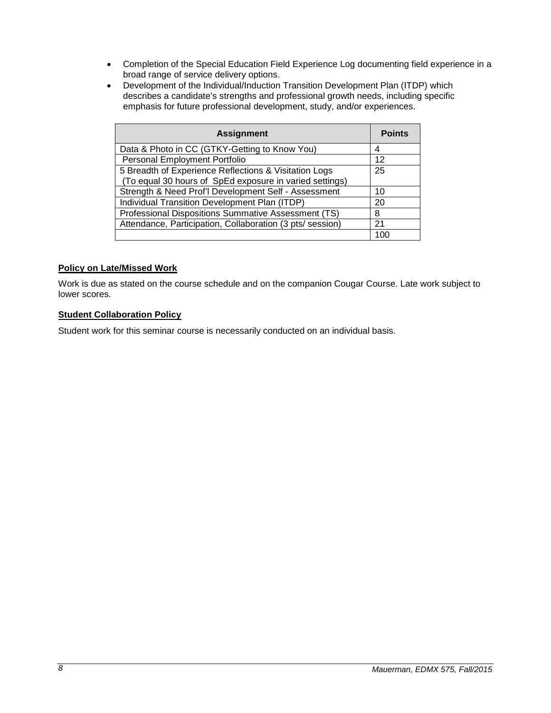- Completion of the Special Education Field Experience Log documenting field experience in a broad range of service delivery options.
- Development of the Individual/Induction Transition Development Plan (ITDP) which describes a candidate's strengths and professional growth needs, including specific emphasis for future professional development, study, and/or experiences.

| <b>Assignment</b>                                                                                                | <b>Points</b> |
|------------------------------------------------------------------------------------------------------------------|---------------|
| Data & Photo in CC (GTKY-Getting to Know You)                                                                    |               |
| Personal Employment Portfolio                                                                                    | 12            |
| 5 Breadth of Experience Reflections & Visitation Logs<br>(To equal 30 hours of SpEd exposure in varied settings) | 25            |
| Strength & Need Prof'l Development Self - Assessment                                                             | 10            |
| Individual Transition Development Plan (ITDP)                                                                    | 20            |
| Professional Dispositions Summative Assessment (TS)                                                              | 8             |
| Attendance, Participation, Collaboration (3 pts/ session)                                                        | 21            |
|                                                                                                                  | 1በ(           |

## <span id="page-7-0"></span>**Policy on Late/Missed Work**

Work is due as stated on the course schedule and on the companion Cougar Course. Late work subject to lower scores.

## <span id="page-7-1"></span>**Student Collaboration Policy**

Student work for this seminar course is necessarily conducted on an individual basis.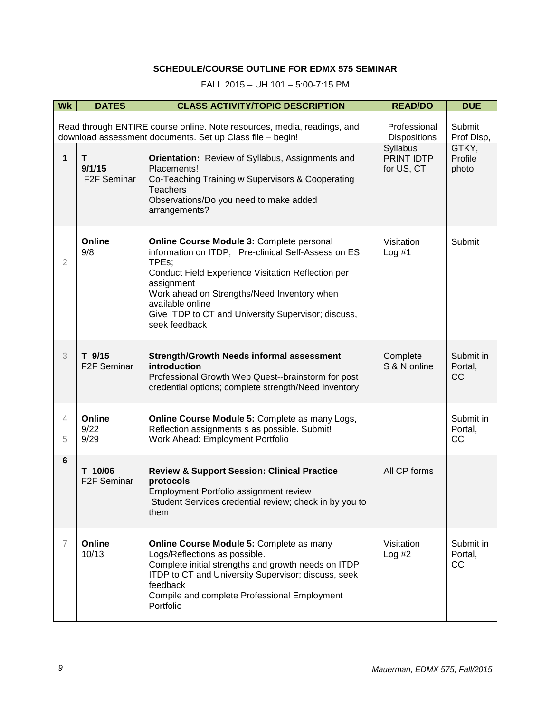# **SCHEDULE/COURSE OUTLINE FOR EDMX 575 SEMINAR**

FALL 2015 – UH 101 – 5:00-7:15 PM

<span id="page-8-0"></span>

| <b>Wk</b>                                                                                                                            | <b>DATES</b>                            | <b>CLASS ACTIVITY/TOPIC DESCRIPTION</b>                                                                                                                                                                                                                                                                                  | <b>READ/DO</b>                       | <b>DUE</b>                 |
|--------------------------------------------------------------------------------------------------------------------------------------|-----------------------------------------|--------------------------------------------------------------------------------------------------------------------------------------------------------------------------------------------------------------------------------------------------------------------------------------------------------------------------|--------------------------------------|----------------------------|
| Read through ENTIRE course online. Note resources, media, readings, and<br>download assessment documents. Set up Class file - begin! |                                         | Professional<br><b>Dispositions</b>                                                                                                                                                                                                                                                                                      | Submit<br>Prof Disp,                 |                            |
| 1                                                                                                                                    | Т<br>9/1/15<br>F <sub>2</sub> F Seminar | <b>Orientation:</b> Review of Syllabus, Assignments and<br>Placements!<br>Co-Teaching Training w Supervisors & Cooperating<br><b>Teachers</b><br>Observations/Do you need to make added<br>arrangements?                                                                                                                 | Syllabus<br>PRINT IDTP<br>for US, CT | GTKY,<br>Profile<br>photo  |
| $\overline{2}$                                                                                                                       | Online<br>9/8                           | Online Course Module 3: Complete personal<br>information on ITDP; Pre-clinical Self-Assess on ES<br>TPEs:<br>Conduct Field Experience Visitation Reflection per<br>assignment<br>Work ahead on Strengths/Need Inventory when<br>available online<br>Give ITDP to CT and University Supervisor; discuss,<br>seek feedback | Visitation<br>Log #1                 | Submit                     |
| 3                                                                                                                                    | T 9/15<br>F <sub>2</sub> F Seminar      | <b>Strength/Growth Needs informal assessment</b><br>introduction<br>Professional Growth Web Quest--brainstorm for post<br>credential options; complete strength/Need inventory                                                                                                                                           | Complete<br>S & N online             | Submit in<br>Portal,<br>CC |
| 4<br>5                                                                                                                               | Online<br>9/22<br>9/29                  | Online Course Module 5: Complete as many Logs,<br>Reflection assignments s as possible. Submit!<br>Work Ahead: Employment Portfolio                                                                                                                                                                                      |                                      | Submit in<br>Portal,<br>CC |
| $6\phantom{1}$                                                                                                                       | T 10/06<br>F <sub>2</sub> F Seminar     | <b>Review &amp; Support Session: Clinical Practice</b><br>protocols<br>Employment Portfolio assignment review<br>Student Services credential review; check in by you to<br>them                                                                                                                                          | All CP forms                         |                            |
| $\overline{7}$                                                                                                                       | Online<br>10/13                         | Online Course Module 5: Complete as many<br>Logs/Reflections as possible.<br>Complete initial strengths and growth needs on ITDP<br>ITDP to CT and University Supervisor; discuss, seek<br>feedback<br>Compile and complete Professional Employment<br>Portfolio                                                         | Visitation<br>Log #2                 | Submit in<br>Portal,<br>CC |